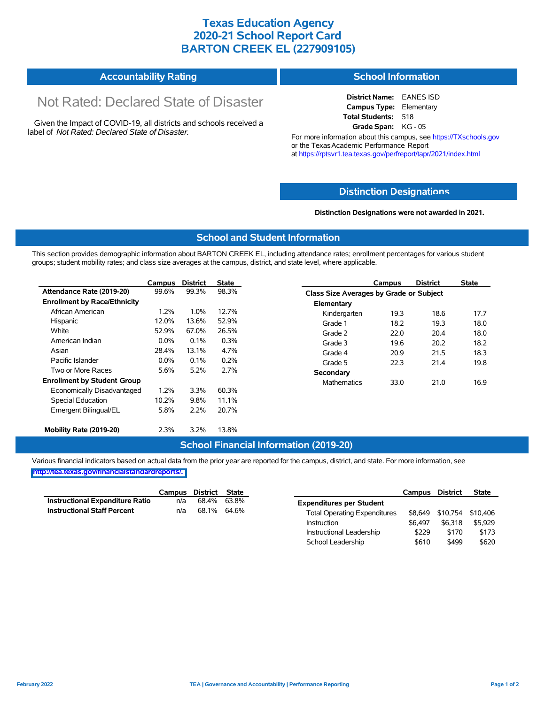## **Texas Education Agency 2020-21 School Report Card BARTON CREEK EL (227909105)**

| <b>Accountability Rating</b> | <b>School Information</b> |
|------------------------------|---------------------------|
|------------------------------|---------------------------|

# Not Rated: Declared State of Disaster

Given the Impact of COVID-19, all districts and schools received a label of *Not Rated: Declared State of Disaster.*

**District Name:** EANES ISD **Campus Type:** Elementary **Total Students:** 518 **Grade Span:** KG - 05

For more information about this campus, see https://TXschools.gov or the Texas Academic Performance Report at https://rptsvr1.tea.texas.gov/perfreport/tapr/2021/index.html

### **Distinction Designat[ions](https://TXschools.gov)**

**Distinction Designations were not awarded in 2021.**

School Leadership  $$610$  \$499 \$620

#### **School and Student Information**

This section provides demographic information about BARTON CREEK EL, including attendance rates; enrollment percentages for various student groups; student mobility rates; and class size averages at the campus, district, and state level, where applicable.

|                                     | Campus  | <b>District</b> | <b>State</b> |                    | Campus                                  | <b>District</b> | <b>State</b> |  |  |
|-------------------------------------|---------|-----------------|--------------|--------------------|-----------------------------------------|-----------------|--------------|--|--|
| Attendance Rate (2019-20)           | 99.6%   | 99.3%           | 98.3%        |                    | Class Size Averages by Grade or Subject |                 |              |  |  |
| <b>Enrollment by Race/Ethnicity</b> |         |                 |              | Elementary         |                                         |                 |              |  |  |
| African American                    | 1.2%    | 1.0%            | 12.7%        | Kindergarten       | 19.3                                    | 18.6            | 17.7         |  |  |
| Hispanic                            | 12.0%   | 13.6%           | 52.9%        | Grade 1            | 18.2                                    | 19.3            | 18.0         |  |  |
| White                               | 52.9%   | 67.0%           | 26.5%        | Grade 2            | 22.0                                    | 20.4            | 18.0         |  |  |
| American Indian                     | 0.0%    | $0.1\%$         | 0.3%         | Grade 3            | 19.6                                    | 20.2            | 18.2         |  |  |
| Asian                               | 28.4%   | 13.1%           | 4.7%         | Grade 4            | 20.9                                    | 21.5            | 18.3         |  |  |
| Pacific Islander                    | $0.0\%$ | $0.1\%$         | 0.2%         | Grade 5            | 22.3                                    | 21.4            | 19.8         |  |  |
| Two or More Races                   | 5.6%    | 5.2%            | 2.7%         | Secondary          |                                         |                 |              |  |  |
| <b>Enrollment by Student Group</b>  |         |                 |              | <b>Mathematics</b> | 33.0                                    | 21.0            | 16.9         |  |  |
| Economically Disadvantaged          | 1.2%    | 3.3%            | 60.3%        |                    |                                         |                 |              |  |  |
| Special Education                   | 10.2%   | 9.8%            | 11.1%        |                    |                                         |                 |              |  |  |
| Emergent Bilingual/EL               | 5.8%    | 2.2%            | 20.7%        |                    |                                         |                 |              |  |  |
|                                     |         |                 |              |                    |                                         |                 |              |  |  |
| Mobility Rate (2019-20)             | 2.3%    | 3.2%            | 13.8%        |                    |                                         |                 |              |  |  |

#### **School Financial Information (2019-20)**

Various financial indicators based on actual data from the prior year are reported for the campus, district, and state. For more information, see

**[http://tea.texas.gov/financialstandardreports/.](http://tea.texas.gov/financialstandardreports/)**

|                                        | Campus | District State |             |                                     | Campus  | <b>District</b>           | <b>State</b> |
|----------------------------------------|--------|----------------|-------------|-------------------------------------|---------|---------------------------|--------------|
| <b>Instructional Expenditure Ratio</b> | n/a    | 68.4%          | 63.8%       | <b>Expenditures per Student</b>     |         |                           |              |
| <b>Instructional Staff Percent</b>     | n/a    |                | 68.1% 64.6% | <b>Total Operating Expenditures</b> |         | \$8,649 \$10,754 \$10,406 |              |
|                                        |        |                |             | Instruction                         | \$6.497 | \$6.318                   | \$5.929      |
|                                        |        |                |             | Instructional Leadership            | \$229   | \$170                     | \$173        |